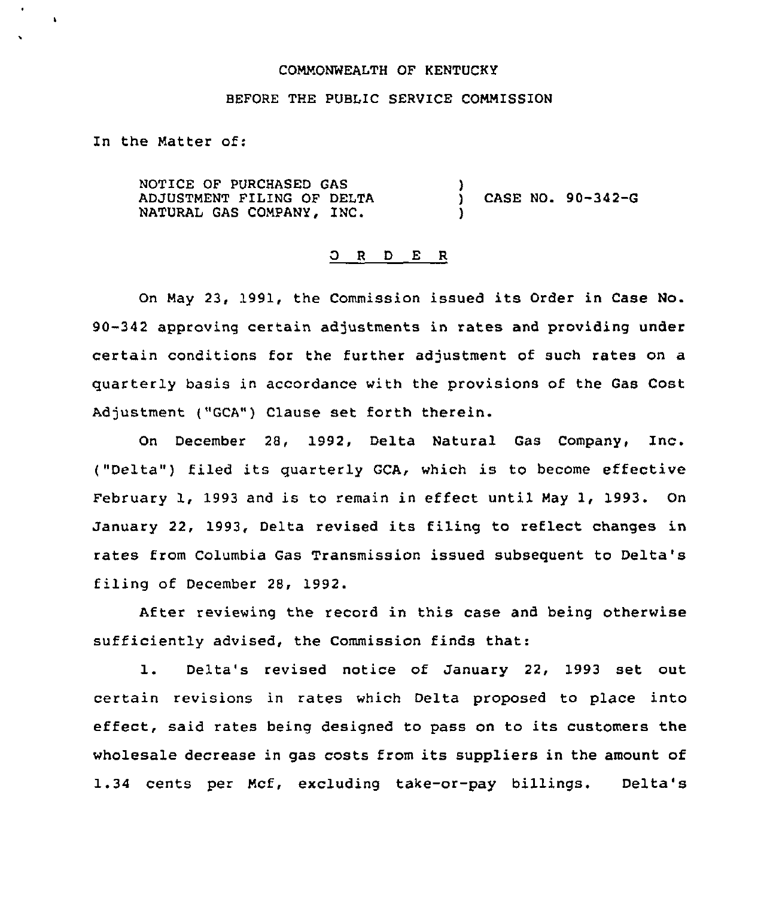### COMMONWEALTH QF KENTUCKY

# BEFORE THE PUBLIC SERUICE COMMISSION

In the Matter of:

 $\lambda$ 

NOTICE OF PURCHASED GAS ADJUSTMENT FILING OF DELTA NATURAL GAS COMPANY, INC.  $\mathbf{A}$ ) CASE NO. 90-342-G )

#### ORDER

On May 23, 1991, the Commission issued its Order in Case No. 90-342 approving certain adjustments in rates and providing under certain conditions for the further adjustment of such rates on a quarterly basis in accordance with the provisions of the Gas Cost Adjustment ("GCA") Clause set forth therein.

On December 28, 1992, Delta Natural Gas Company, Inc. ("Delta") filed its quarterly GCA, which is to become effective February 1, 1993 and is to remain in effect until May 1, 1993. On January 22, 1993, Delta revised its filing to reflect changes in rates from Columbia Gas Transmission issued subsequent to Delta's filing of December 28, 1992.

After reviewing the record in this case and being otherwise sufficiently advised, the Commission finds that:

1. Delta's revised notice of January 22, <sup>1993</sup> set out certain revisions in rates which Delta proposed to place into effect, said rates being designed to pass on to its customers the wholesale decrease in gas costs from its suppliers in the amount of 1.34 cents per Mcf, excluding take-or-pay billings. Delta's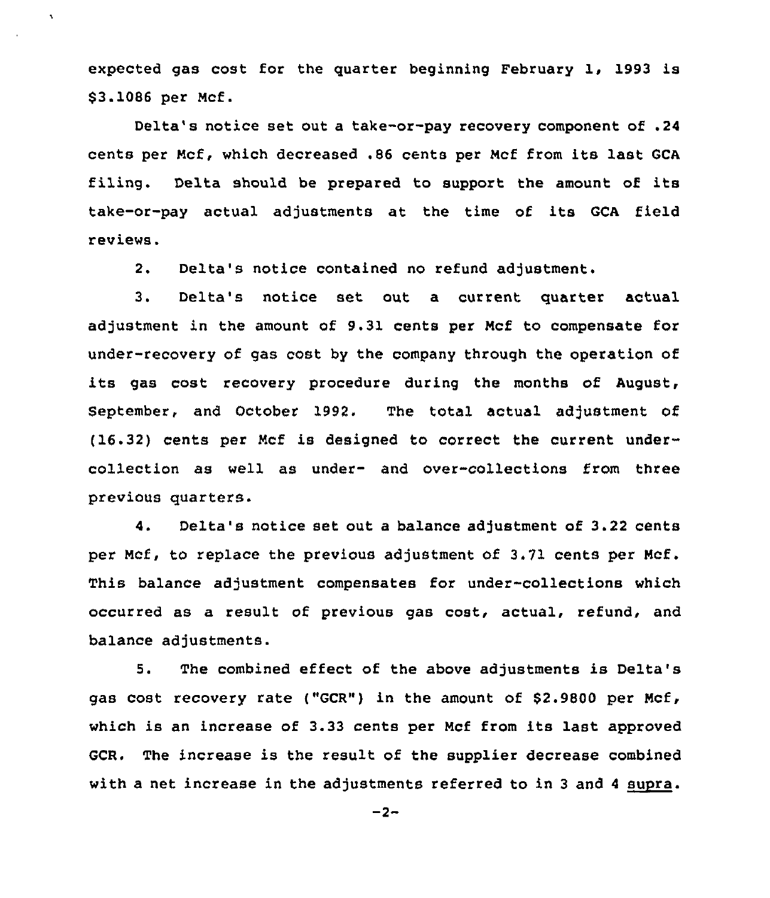expected gas cost for the quarter beginning February 1, 1993 is \$ 3.1086 per Ncf.

 $\bar{\mathbf{v}}$ 

Delta's notice set out a take-or-pay recovery component of .24 cents per Ncf, which decreased .86 cents per Ncf from its last GCA filing. Delta should be prepared to support the amount of its take-or-pay actual adjustments at the time of its GCA field reviews.

2. Delta's notice contained no refund adjustment.

3. Delta's notice set out a current quarter actual adjustment in the amount of 9.31 cents per Ncf to compensate for under-recovery of gas cost by the company through the operation ot its gas cost recovery procedure during the months of August, September, and October 1992. The total actual adjustment of (16.32) cents per Ncf is designed to correct the current undercollection as well as under- and over-collections from three previous quarters.

4. Delta's notice set out a balance adjustment of 3.22 cents per Ncf, to replace the previous adjustment of 3.71 cents per Ncf. This balance adjustment compensates for under-collections which occurred as a result of previous gas cost, actual, refund, and balance adjustments.

5. The combined effect of the above adjustments is Delta's gas cost recovery rate ("GCR") in the amount of \$2.9800 per Ncf, which is an increase of 3.33 cents per Ncf from its last approved GCR. The increase is the result of the supplier decrease combined with a net increase in the adjustments referred to in 3 and 4 supra.

 $-2-$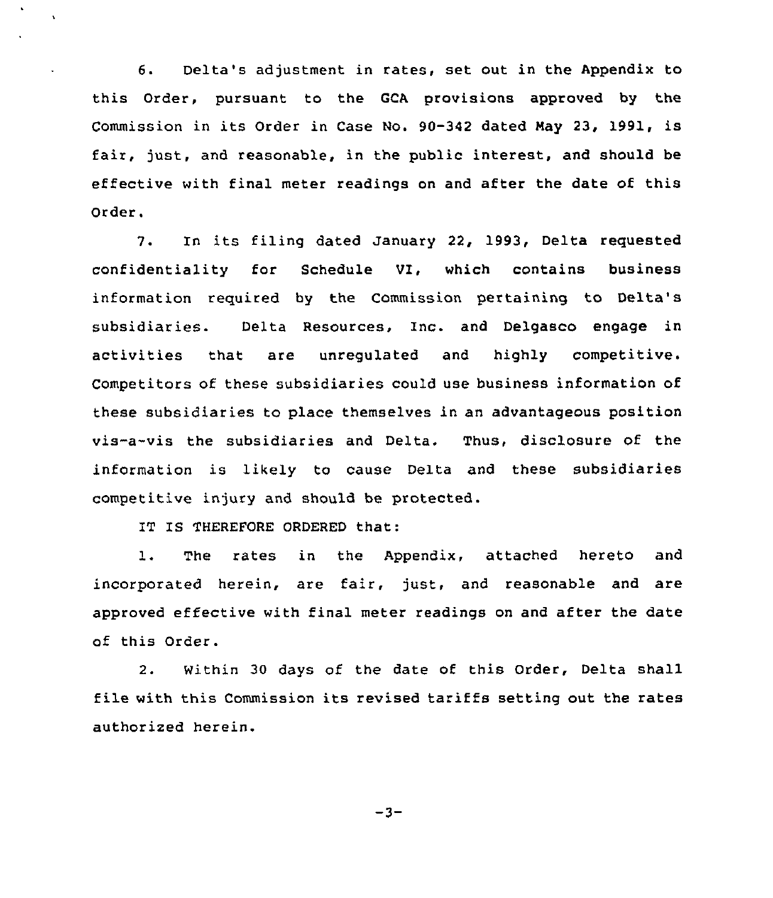6. Delta's adjustment in rates, set out in the Appendix to this Order, pursuant to the GCA provisions approved by the Commission in its Order in Case No. 90-342 dated Nay 23, 1991, is fair, just, and reasonable, in the public interest, and should be effective with final meter readings on and after the date of this Order.

7. In its filing dated January 22, 1993, Delta requested confidentiality for Schedule VI, which contains business information required by the Commission pertaining to Delta's subsidiaries. Delta Resources. Inc. and Delgasco engage in activities that are unregulated and highly competitive. Competitors of these subsidiaries could use business information of these subsidiaries to place themselves in an advantageous position vis-a-vis the subsidiaries and Delta. Thus, disclosure of the information is likely to cause Delta and these subsidiaries competitive injury and should be protected.

IT IS THEREFORE ORDERED that:

 $\bullet$ 

 $\ddot{\phantom{0}}$ 

 $\ddot{\phantom{0}}$ 

1. The rates in the Appendix, attached hereto and incorporated herein, are fair, just, and reasonable and are approved effective with final meter readings on and after the date of this Order.

2. Within 30 days of the date of this Order, Delta shall file with this Commission its revised tariffs setting out the rates authorized herein.

 $-3-$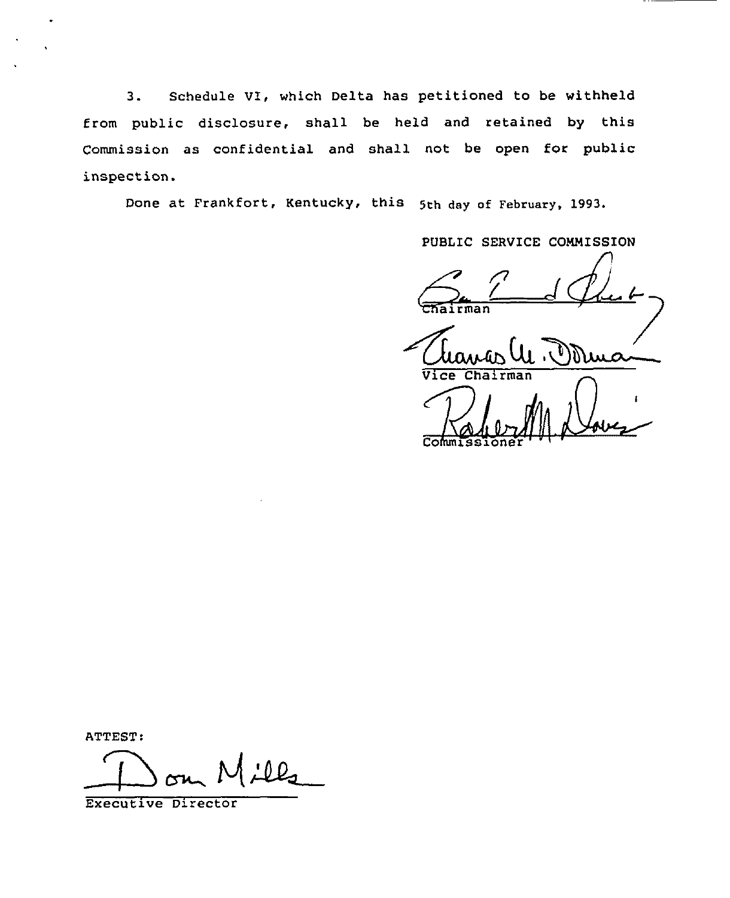3. Schedule VI, which Delta has petitioned to be withheld from public disclosure, shall be held and retained by this Commission as confidential and shall not be open for public inspection.

Done at Frankfort, Kentucky, this 5th day of February, 1993.

PVBLIC SERVICE CONMISSION

n airman

ATTEST:

 $l\ell_2$ 

Executive Director